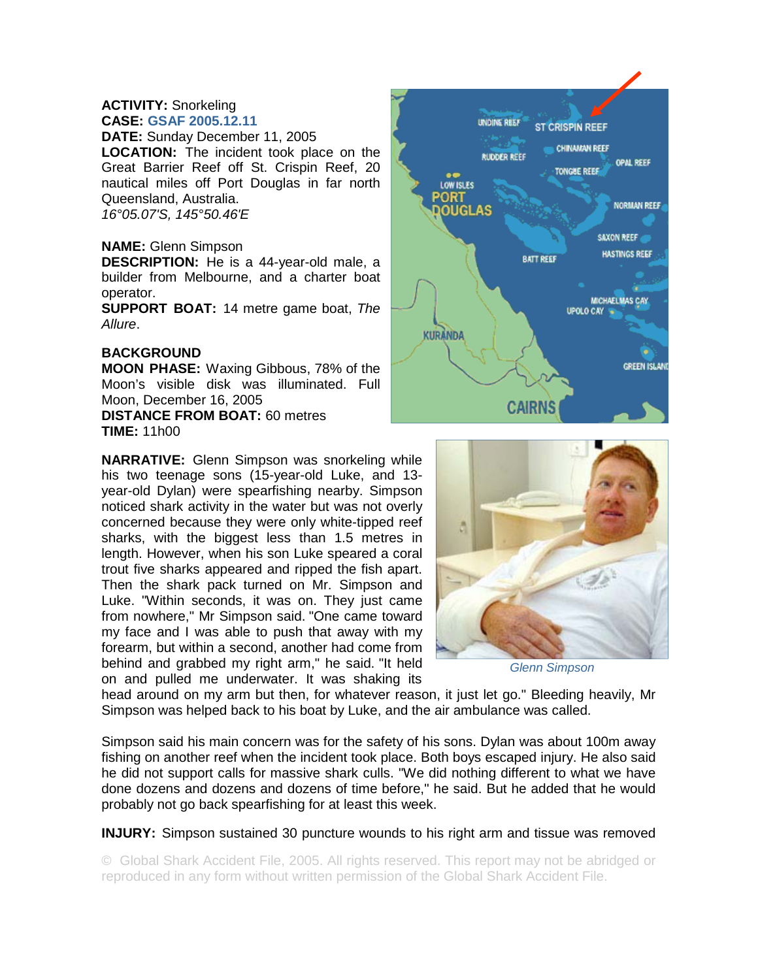## **ACTIVITY:** Snorkeling **CASE: GSAF 2005.12.11**

**DATE:** Sunday December 11, 2005 **LOCATION:** The incident took place on the Great Barrier Reef off St. Crispin Reef, 20 nautical miles off Port Douglas in far north Queensland, Australia. *16°05.07'S, 145°50.46'E* 

## **NAME:** Glenn Simpson

**DESCRIPTION:** He is a 44-year-old male, a builder from Melbourne, and a charter boat operator.

**SUPPORT BOAT:** 14 metre game boat, *The Allure*.

## **BACKGROUND**

**MOON PHASE:** Waxing Gibbous, 78% of the Moon's visible disk was illuminated. Full Moon, December 16, 2005

**DISTANCE FROM BOAT:** 60 metres **TIME:** 11h00

**NARRATIVE:** Glenn Simpson was snorkeling while his two teenage sons (15-year-old Luke, and 13 year-old Dylan) were spearfishing nearby. Simpson noticed shark activity in the water but was not overly concerned because they were only white-tipped reef sharks, with the biggest less than 1.5 metres in length. However, when his son Luke speared a coral trout five sharks appeared and ripped the fish apart. Then the shark pack turned on Mr. Simpson and Luke. "Within seconds, it was on. They just came from nowhere," Mr Simpson said. "One came toward my face and I was able to push that away with my forearm, but within a second, another had come from behind and grabbed my right arm," he said. "It held on and pulled me underwater. It was shaking its





*Glenn Simpson* 

head around on my arm but then, for whatever reason, it just let go." Bleeding heavily, Mr Simpson was helped back to his boat by Luke, and the air ambulance was called.

Simpson said his main concern was for the safety of his sons. Dylan was about 100m away fishing on another reef when the incident took place. Both boys escaped injury. He also said he did not support calls for massive shark culls. "We did nothing different to what we have done dozens and dozens and dozens of time before," he said. But he added that he would probably not go back spearfishing for at least this week.

**INJURY:** Simpson sustained 30 puncture wounds to his right arm and tissue was removed

© Global Shark Accident File, 2005. All rights reserved. This report may not be abridged or reproduced in any form without written permission of the Global Shark Accident File.